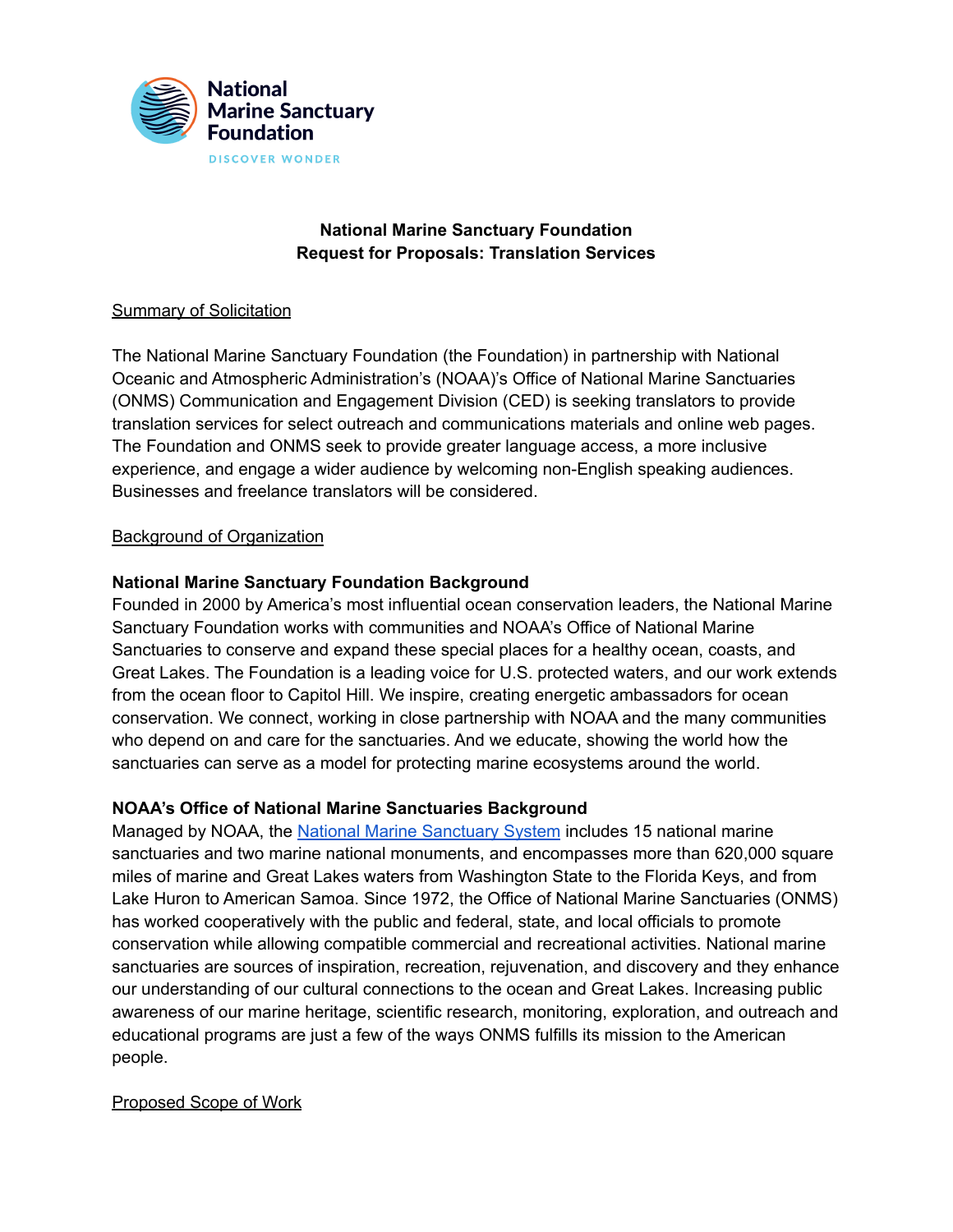

# **National Marine Sanctuary Foundation Request for Proposals: Translation Services**

## Summary of Solicitation

The National Marine Sanctuary Foundation (the Foundation) in partnership with National Oceanic and Atmospheric Administration's (NOAA)'s Office of National Marine Sanctuaries (ONMS) Communication and Engagement Division (CED) is seeking translators to provide translation services for select outreach and communications materials and online web pages. The Foundation and ONMS seek to provide greater language access, a more inclusive experience, and engage a wider audience by welcoming non-English speaking audiences. Businesses and freelance translators will be considered.

## Background of Organization

# **National Marine Sanctuary Foundation Background**

Founded in 2000 by America's most influential ocean conservation leaders, the National Marine Sanctuary Foundation works with communities and NOAA's Office of National Marine Sanctuaries to conserve and expand these special places for a healthy ocean, coasts, and Great Lakes. The Foundation is a leading voice for U.S. protected waters, and our work extends from the ocean floor to Capitol Hill. We inspire, creating energetic ambassadors for ocean conservation. We connect, working in close partnership with NOAA and the many communities who depend on and care for the sanctuaries. And we educate, showing the world how the sanctuaries can serve as a model for protecting marine ecosystems around the world.

### **NOAA's Office of National Marine Sanctuaries Background**

Managed by NOAA, the National Marine [Sanctuary](https://sanctuaries.noaa.gov) System includes 15 national marine sanctuaries and two marine national monuments, and encompasses more than 620,000 square miles of marine and Great Lakes waters from Washington State to the Florida Keys, and from Lake Huron to American Samoa. Since 1972, the Office of National Marine Sanctuaries (ONMS) has worked cooperatively with the public and federal, state, and local officials to promote conservation while allowing compatible commercial and recreational activities. National marine sanctuaries are sources of inspiration, recreation, rejuvenation, and discovery and they enhance our understanding of our cultural connections to the ocean and Great Lakes. Increasing public awareness of our marine heritage, scientific research, monitoring, exploration, and outreach and educational programs are just a few of the ways ONMS fulfills its mission to the American people.

### Proposed Scope of Work